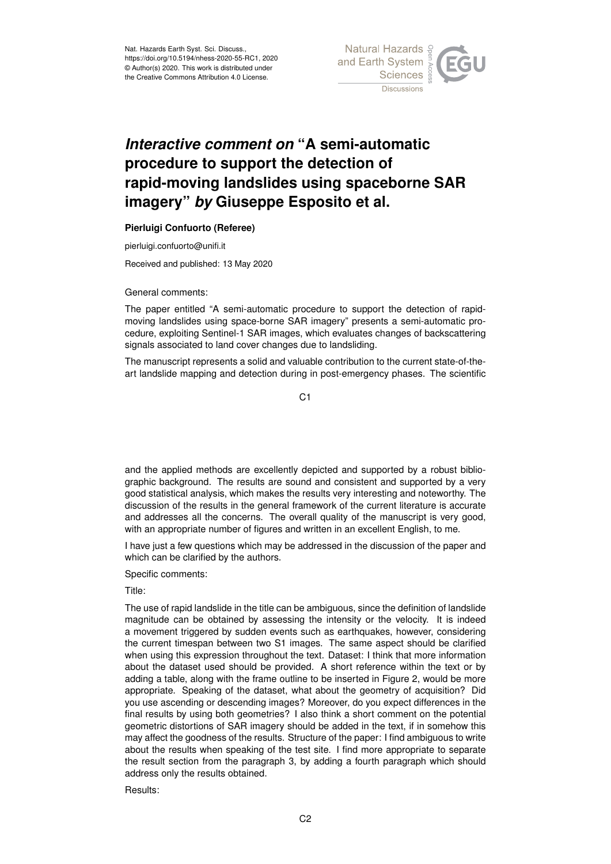

## *Interactive comment on* **"A semi-automatic procedure to support the detection of rapid-moving landslides using spaceborne SAR imagery"** *by* **Giuseppe Esposito et al.**

## **Pierluigi Confuorto (Referee)**

pierluigi.confuorto@unifi.it

Received and published: 13 May 2020

General comments:

The paper entitled "A semi-automatic procedure to support the detection of rapidmoving landslides using space-borne SAR imagery" presents a semi-automatic procedure, exploiting Sentinel-1 SAR images, which evaluates changes of backscattering signals associated to land cover changes due to landsliding.

The manuscript represents a solid and valuable contribution to the current state-of-theart landslide mapping and detection during in post-emergency phases. The scientific

C<sub>1</sub>

and the applied methods are excellently depicted and supported by a robust bibliographic background. The results are sound and consistent and supported by a very good statistical analysis, which makes the results very interesting and noteworthy. The discussion of the results in the general framework of the current literature is accurate and addresses all the concerns. The overall quality of the manuscript is very good, with an appropriate number of figures and written in an excellent English, to me.

I have just a few questions which may be addressed in the discussion of the paper and which can be clarified by the authors.

Specific comments:

Title:

The use of rapid landslide in the title can be ambiguous, since the definition of landslide magnitude can be obtained by assessing the intensity or the velocity. It is indeed a movement triggered by sudden events such as earthquakes, however, considering the current timespan between two S1 images. The same aspect should be clarified when using this expression throughout the text. Dataset: I think that more information about the dataset used should be provided. A short reference within the text or by adding a table, along with the frame outline to be inserted in Figure 2, would be more appropriate. Speaking of the dataset, what about the geometry of acquisition? Did you use ascending or descending images? Moreover, do you expect differences in the final results by using both geometries? I also think a short comment on the potential geometric distortions of SAR imagery should be added in the text, if in somehow this may affect the goodness of the results. Structure of the paper: I find ambiguous to write about the results when speaking of the test site. I find more appropriate to separate the result section from the paragraph 3, by adding a fourth paragraph which should address only the results obtained.

Results: